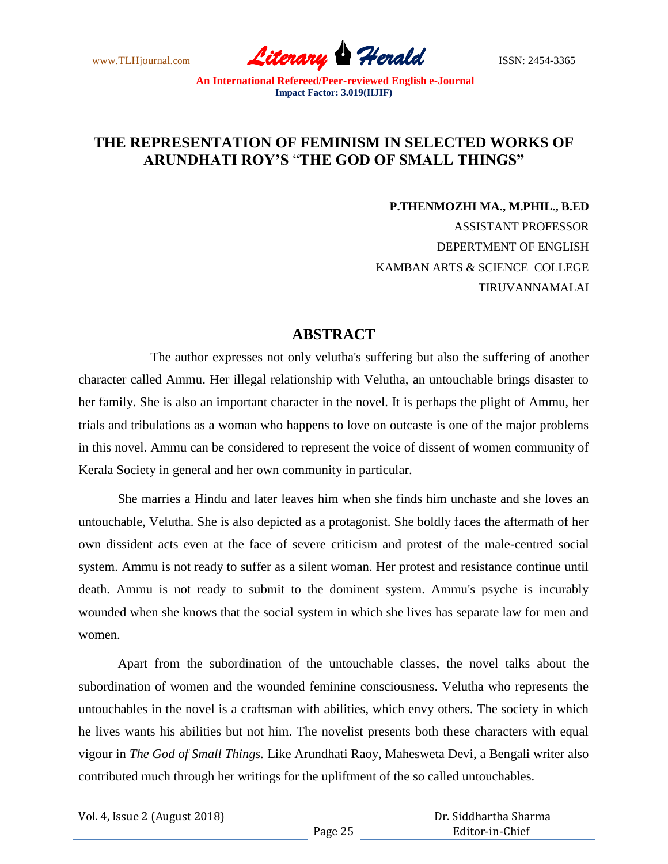www.TLHjournal.com **Literary Herald** ISSN: 2454-3365

## **THE REPRESENTATION OF FEMINISM IN SELECTED WORKS OF ARUNDHATI ROY'S** "**THE GOD OF SMALL THINGS"**

**P.THENMOZHI MA., M.PHIL., B.ED** ASSISTANT PROFESSOR DEPERTMENT OF ENGLISH KAMBAN ARTS & SCIENCE COLLEGE TIRUVANNAMALAI

## **ABSTRACT**

The author expresses not only velutha's suffering but also the suffering of another character called Ammu. Her illegal relationship with Velutha, an untouchable brings disaster to her family. She is also an important character in the novel. It is perhaps the plight of Ammu, her trials and tribulations as a woman who happens to love on outcaste is one of the major problems in this novel. Ammu can be considered to represent the voice of dissent of women community of Kerala Society in general and her own community in particular.

She marries a Hindu and later leaves him when she finds him unchaste and she loves an untouchable, Velutha. She is also depicted as a protagonist. She boldly faces the aftermath of her own dissident acts even at the face of severe criticism and protest of the male-centred social system. Ammu is not ready to suffer as a silent woman. Her protest and resistance continue until death. Ammu is not ready to submit to the dominent system. Ammu's psyche is incurably wounded when she knows that the social system in which she lives has separate law for men and women.

Apart from the subordination of the untouchable classes, the novel talks about the subordination of women and the wounded feminine consciousness. Velutha who represents the untouchables in the novel is a craftsman with abilities, which envy others. The society in which he lives wants his abilities but not him. The novelist presents both these characters with equal vigour in *The God of Small Things.* Like Arundhati Raoy, Mahesweta Devi, a Bengali writer also contributed much through her writings for the upliftment of the so called untouchables.

Vol. 4, Issue 2 (August 2018)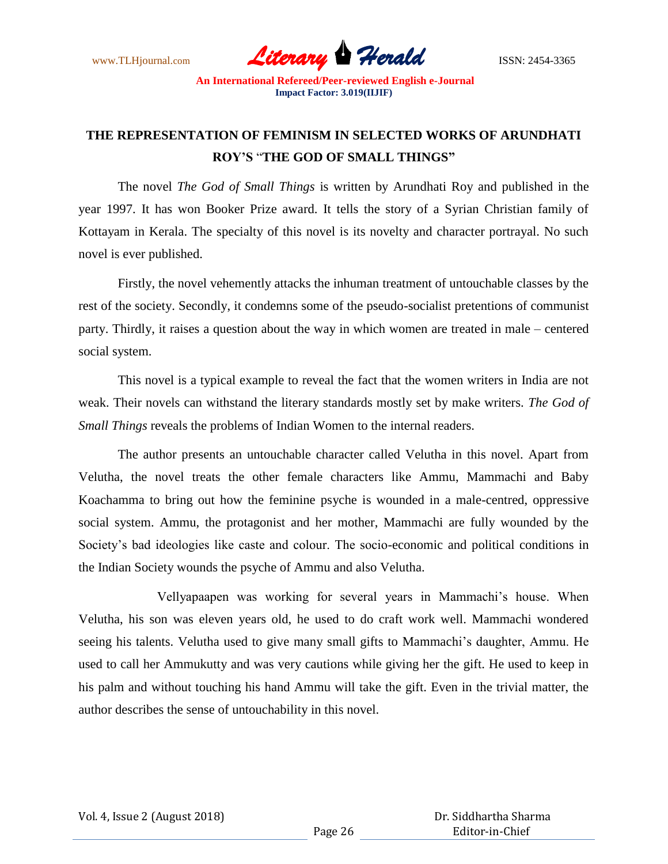www.TLHjournal.com **Literary Herald Herald** ISSN: 2454-3365

## **THE REPRESENTATION OF FEMINISM IN SELECTED WORKS OF ARUNDHATI ROY'S** "**THE GOD OF SMALL THINGS"**

The novel *The God of Small Things* is written by Arundhati Roy and published in the year 1997. It has won Booker Prize award. It tells the story of a Syrian Christian family of Kottayam in Kerala. The specialty of this novel is its novelty and character portrayal. No such novel is ever published.

Firstly, the novel vehemently attacks the inhuman treatment of untouchable classes by the rest of the society. Secondly, it condemns some of the pseudo-socialist pretentions of communist party. Thirdly, it raises a question about the way in which women are treated in male – centered social system.

This novel is a typical example to reveal the fact that the women writers in India are not weak. Their novels can withstand the literary standards mostly set by make writers. *The God of Small Things* reveals the problems of Indian Women to the internal readers.

The author presents an untouchable character called Velutha in this novel. Apart from Velutha, the novel treats the other female characters like Ammu, Mammachi and Baby Koachamma to bring out how the feminine psyche is wounded in a male-centred, oppressive social system. Ammu, the protagonist and her mother, Mammachi are fully wounded by the Society"s bad ideologies like caste and colour. The socio-economic and political conditions in the Indian Society wounds the psyche of Ammu and also Velutha.

Vellyapaapen was working for several years in Mammachi"s house. When Velutha, his son was eleven years old, he used to do craft work well. Mammachi wondered seeing his talents. Velutha used to give many small gifts to Mammachi's daughter, Ammu. He used to call her Ammukutty and was very cautions while giving her the gift. He used to keep in his palm and without touching his hand Ammu will take the gift. Even in the trivial matter, the author describes the sense of untouchability in this novel.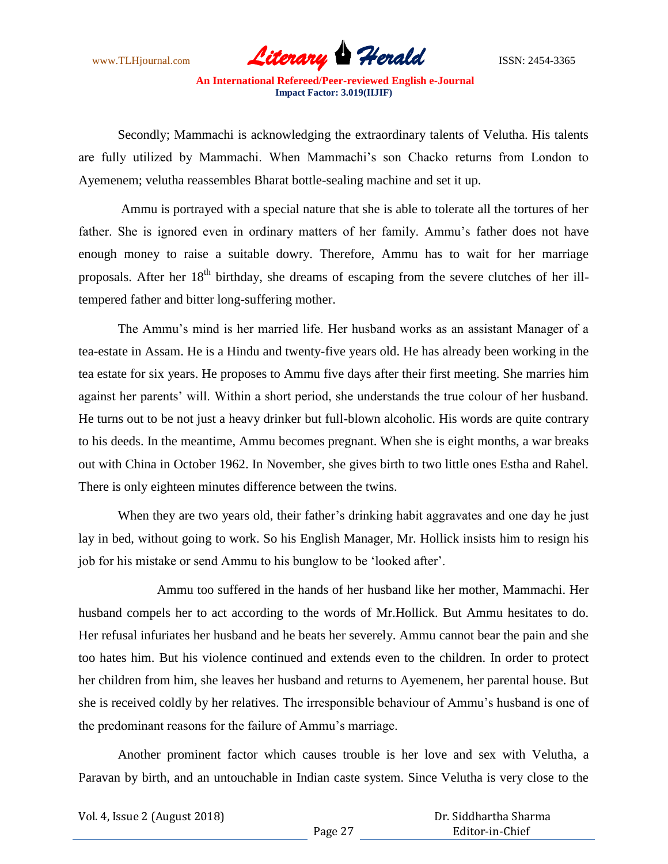www.TLHjournal.com **Literary Herald Herald** ISSN: 2454-3365

Secondly; Mammachi is acknowledging the extraordinary talents of Velutha. His talents are fully utilized by Mammachi. When Mammachi"s son Chacko returns from London to Ayemenem; velutha reassembles Bharat bottle-sealing machine and set it up.

Ammu is portrayed with a special nature that she is able to tolerate all the tortures of her father. She is ignored even in ordinary matters of her family. Ammu's father does not have enough money to raise a suitable dowry. Therefore, Ammu has to wait for her marriage proposals. After her 18<sup>th</sup> birthday, she dreams of escaping from the severe clutches of her illtempered father and bitter long-suffering mother.

The Ammu's mind is her married life. Her husband works as an assistant Manager of a tea-estate in Assam. He is a Hindu and twenty-five years old. He has already been working in the tea estate for six years. He proposes to Ammu five days after their first meeting. She marries him against her parents" will. Within a short period, she understands the true colour of her husband. He turns out to be not just a heavy drinker but full-blown alcoholic. His words are quite contrary to his deeds. In the meantime, Ammu becomes pregnant. When she is eight months, a war breaks out with China in October 1962. In November, she gives birth to two little ones Estha and Rahel. There is only eighteen minutes difference between the twins.

When they are two years old, their father's drinking habit aggravates and one day he just lay in bed, without going to work. So his English Manager, Mr. Hollick insists him to resign his job for his mistake or send Ammu to his bunglow to be "looked after".

Ammu too suffered in the hands of her husband like her mother, Mammachi. Her husband compels her to act according to the words of Mr.Hollick. But Ammu hesitates to do. Her refusal infuriates her husband and he beats her severely. Ammu cannot bear the pain and she too hates him. But his violence continued and extends even to the children. In order to protect her children from him, she leaves her husband and returns to Ayemenem, her parental house. But she is received coldly by her relatives. The irresponsible behaviour of Ammu"s husband is one of the predominant reasons for the failure of Ammu"s marriage.

Another prominent factor which causes trouble is her love and sex with Velutha, a Paravan by birth, and an untouchable in Indian caste system. Since Velutha is very close to the

| Vol. 4, Issue 2 (August 2018) |  |
|-------------------------------|--|
|-------------------------------|--|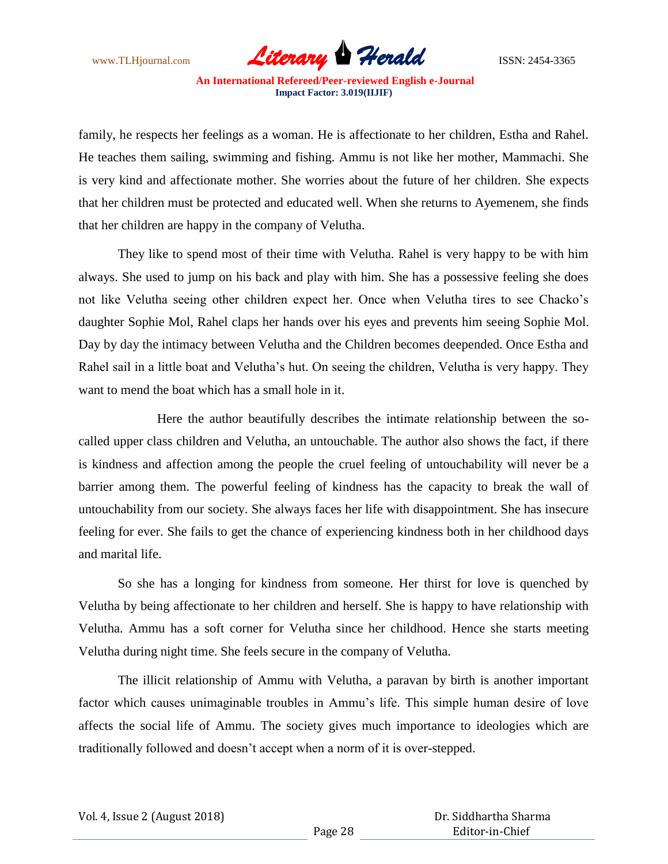

family, he respects her feelings as a woman. He is affectionate to her children, Estha and Rahel. He teaches them sailing, swimming and fishing. Ammu is not like her mother, Mammachi. She is very kind and affectionate mother. She worries about the future of her children. She expects that her children must be protected and educated well. When she returns to Ayemenem, she finds that her children are happy in the company of Velutha.

They like to spend most of their time with Velutha. Rahel is very happy to be with him always. She used to jump on his back and play with him. She has a possessive feeling she does not like Velutha seeing other children expect her. Once when Velutha tires to see Chacko"s daughter Sophie Mol, Rahel claps her hands over his eyes and prevents him seeing Sophie Mol. Day by day the intimacy between Velutha and the Children becomes deepended. Once Estha and Rahel sail in a little boat and Velutha's hut. On seeing the children, Velutha is very happy. They want to mend the boat which has a small hole in it.

Here the author beautifully describes the intimate relationship between the socalled upper class children and Velutha, an untouchable. The author also shows the fact, if there is kindness and affection among the people the cruel feeling of untouchability will never be a barrier among them. The powerful feeling of kindness has the capacity to break the wall of untouchability from our society. She always faces her life with disappointment. She has insecure feeling for ever. She fails to get the chance of experiencing kindness both in her childhood days and marital life.

So she has a longing for kindness from someone. Her thirst for love is quenched by Velutha by being affectionate to her children and herself. She is happy to have relationship with Velutha. Ammu has a soft corner for Velutha since her childhood. Hence she starts meeting Velutha during night time. She feels secure in the company of Velutha.

The illicit relationship of Ammu with Velutha, a paravan by birth is another important factor which causes unimaginable troubles in Ammu"s life. This simple human desire of love affects the social life of Ammu. The society gives much importance to ideologies which are traditionally followed and doesn"t accept when a norm of it is over-stepped.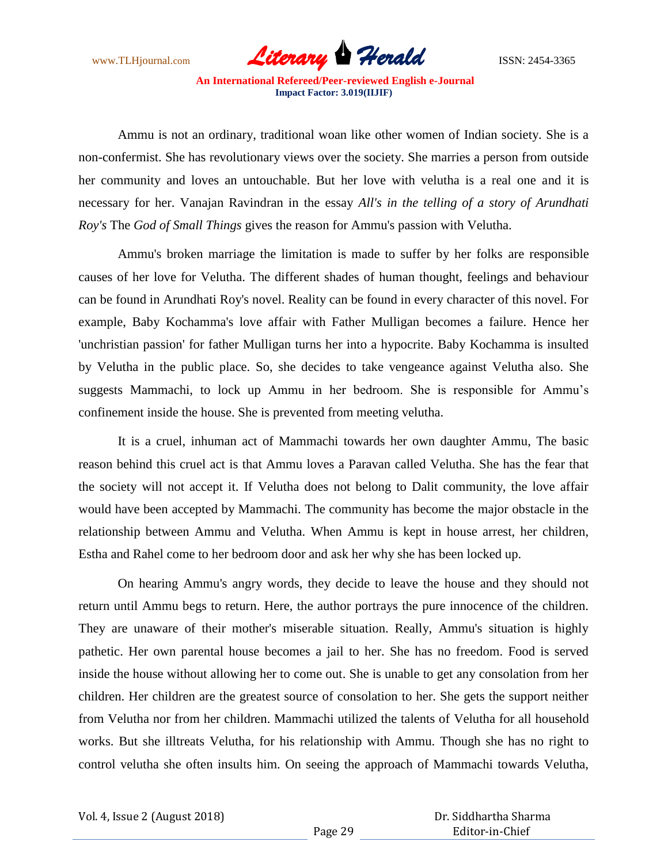

Ammu is not an ordinary, traditional woan like other women of Indian society. She is a non-confermist. She has revolutionary views over the society. She marries a person from outside her community and loves an untouchable. But her love with velutha is a real one and it is necessary for her. Vanajan Ravindran in the essay *All's in the telling of a story of Arundhati Roy's* The *God of Small Things* gives the reason for Ammu's passion with Velutha.

 Ammu's broken marriage the limitation is made to suffer by her folks are responsible causes of her love for Velutha. The different shades of human thought, feelings and behaviour can be found in Arundhati Roy's novel. Reality can be found in every character of this novel. For example, Baby Kochamma's love affair with Father Mulligan becomes a failure. Hence her 'unchristian passion' for father Mulligan turns her into a hypocrite. Baby Kochamma is insulted by Velutha in the public place. So, she decides to take vengeance against Velutha also. She suggests Mammachi, to lock up Ammu in her bedroom. She is responsible for Ammu"s confinement inside the house. She is prevented from meeting velutha.

It is a cruel, inhuman act of Mammachi towards her own daughter Ammu, The basic reason behind this cruel act is that Ammu loves a Paravan called Velutha. She has the fear that the society will not accept it. If Velutha does not belong to Dalit community, the love affair would have been accepted by Mammachi. The community has become the major obstacle in the relationship between Ammu and Velutha. When Ammu is kept in house arrest, her children, Estha and Rahel come to her bedroom door and ask her why she has been locked up.

On hearing Ammu's angry words, they decide to leave the house and they should not return until Ammu begs to return. Here, the author portrays the pure innocence of the children. They are unaware of their mother's miserable situation. Really, Ammu's situation is highly pathetic. Her own parental house becomes a jail to her. She has no freedom. Food is served inside the house without allowing her to come out. She is unable to get any consolation from her children. Her children are the greatest source of consolation to her. She gets the support neither from Velutha nor from her children. Mammachi utilized the talents of Velutha for all household works. But she illtreats Velutha, for his relationship with Ammu. Though she has no right to control velutha she often insults him. On seeing the approach of Mammachi towards Velutha,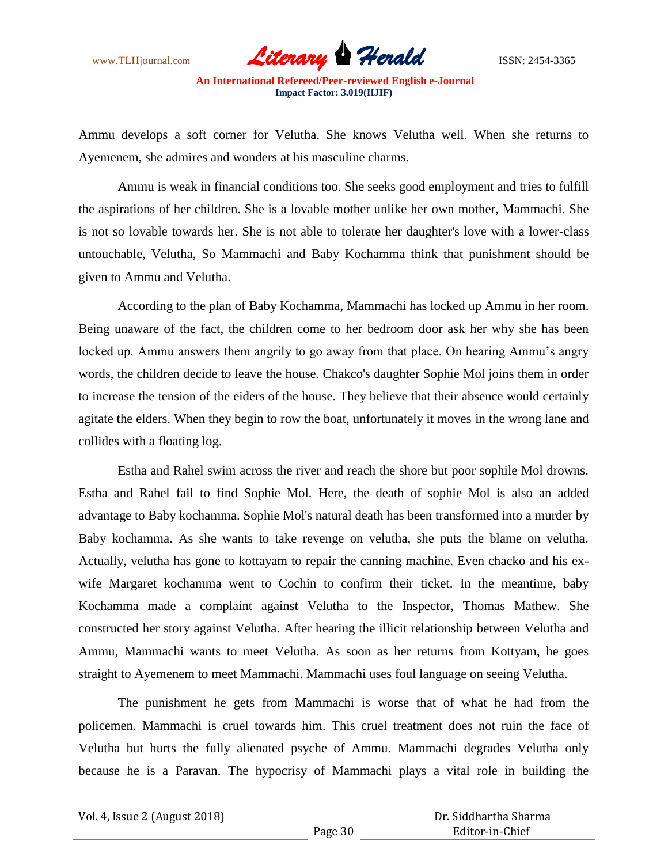www.TLHjournal.com **Literary Herald ISSN: 2454-3365** 

Ammu develops a soft corner for Velutha. She knows Velutha well. When she returns to Ayemenem, she admires and wonders at his masculine charms.

Ammu is weak in financial conditions too. She seeks good employment and tries to fulfill the aspirations of her children. She is a lovable mother unlike her own mother, Mammachi. She is not so lovable towards her. She is not able to tolerate her daughter's love with a lower-class untouchable, Velutha, So Mammachi and Baby Kochamma think that punishment should be given to Ammu and Velutha.

According to the plan of Baby Kochamma, Mammachi has locked up Ammu in her room. Being unaware of the fact, the children come to her bedroom door ask her why she has been locked up. Ammu answers them angrily to go away from that place. On hearing Ammu's angry words, the children decide to leave the house. Chakco's daughter Sophie Mol joins them in order to increase the tension of the eiders of the house. They believe that their absence would certainly agitate the elders. When they begin to row the boat, unfortunately it moves in the wrong lane and collides with a floating log.

Estha and Rahel swim across the river and reach the shore but poor sophile Mol drowns. Estha and Rahel fail to find Sophie Mol. Here, the death of sophie Mol is also an added advantage to Baby kochamma. Sophie Mol's natural death has been transformed into a murder by Baby kochamma. As she wants to take revenge on velutha, she puts the blame on velutha. Actually, velutha has gone to kottayam to repair the canning machine. Even chacko and his exwife Margaret kochamma went to Cochin to confirm their ticket. In the meantime, baby Kochamma made a complaint against Velutha to the Inspector, Thomas Mathew. She constructed her story against Velutha. After hearing the illicit relationship between Velutha and Ammu, Mammachi wants to meet Velutha. As soon as her returns from Kottyam, he goes straight to Ayemenem to meet Mammachi. Mammachi uses foul language on seeing Velutha.

The punishment he gets from Mammachi is worse that of what he had from the policemen. Mammachi is cruel towards him. This cruel treatment does not ruin the face of Velutha but hurts the fully alienated psyche of Ammu. Mammachi degrades Velutha only because he is a Paravan. The hypocrisy of Mammachi plays a vital role in building the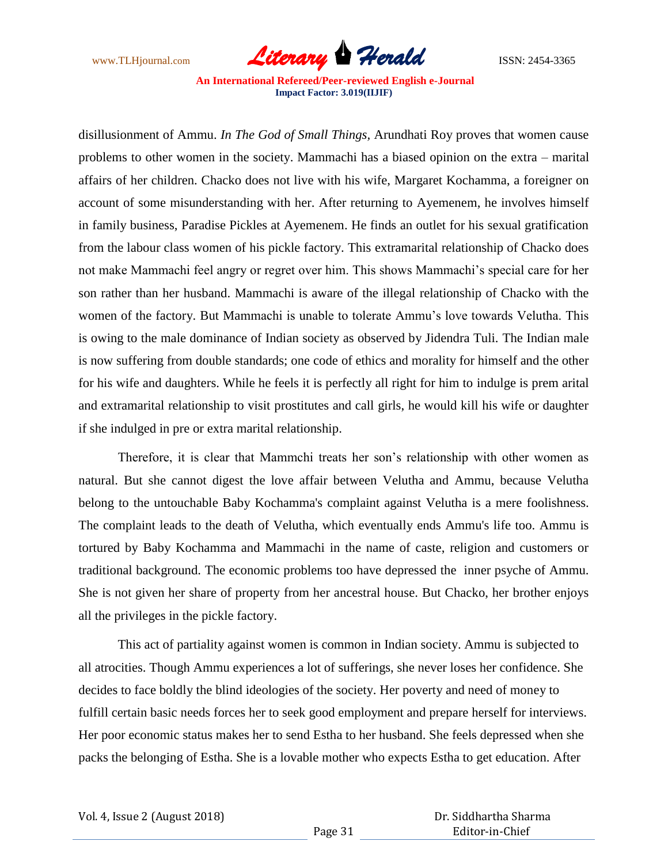

disillusionment of Ammu. *In The God of Small Things,* Arundhati Roy proves that women cause problems to other women in the society. Mammachi has a biased opinion on the extra – marital affairs of her children. Chacko does not live with his wife, Margaret Kochamma, a foreigner on account of some misunderstanding with her. After returning to Ayemenem, he involves himself in family business, Paradise Pickles at Ayemenem. He finds an outlet for his sexual gratification from the labour class women of his pickle factory. This extramarital relationship of Chacko does not make Mammachi feel angry or regret over him. This shows Mammachi"s special care for her son rather than her husband. Mammachi is aware of the illegal relationship of Chacko with the women of the factory. But Mammachi is unable to tolerate Ammu"s love towards Velutha. This is owing to the male dominance of Indian society as observed by Jidendra Tuli. The Indian male is now suffering from double standards; one code of ethics and morality for himself and the other for his wife and daughters. While he feels it is perfectly all right for him to indulge is prem arital and extramarital relationship to visit prostitutes and call girls, he would kill his wife or daughter if she indulged in pre or extra marital relationship.

Therefore, it is clear that Mammchi treats her son"s relationship with other women as natural. But she cannot digest the love affair between Velutha and Ammu, because Velutha belong to the untouchable Baby Kochamma's complaint against Velutha is a mere foolishness. The complaint leads to the death of Velutha, which eventually ends Ammu's life too. Ammu is tortured by Baby Kochamma and Mammachi in the name of caste, religion and customers or traditional background. The economic problems too have depressed the inner psyche of Ammu. She is not given her share of property from her ancestral house. But Chacko, her brother enjoys all the privileges in the pickle factory.

This act of partiality against women is common in Indian society. Ammu is subjected to all atrocities. Though Ammu experiences a lot of sufferings, she never loses her confidence. She decides to face boldly the blind ideologies of the society. Her poverty and need of money to fulfill certain basic needs forces her to seek good employment and prepare herself for interviews. Her poor economic status makes her to send Estha to her husband. She feels depressed when she packs the belonging of Estha. She is a lovable mother who expects Estha to get education. After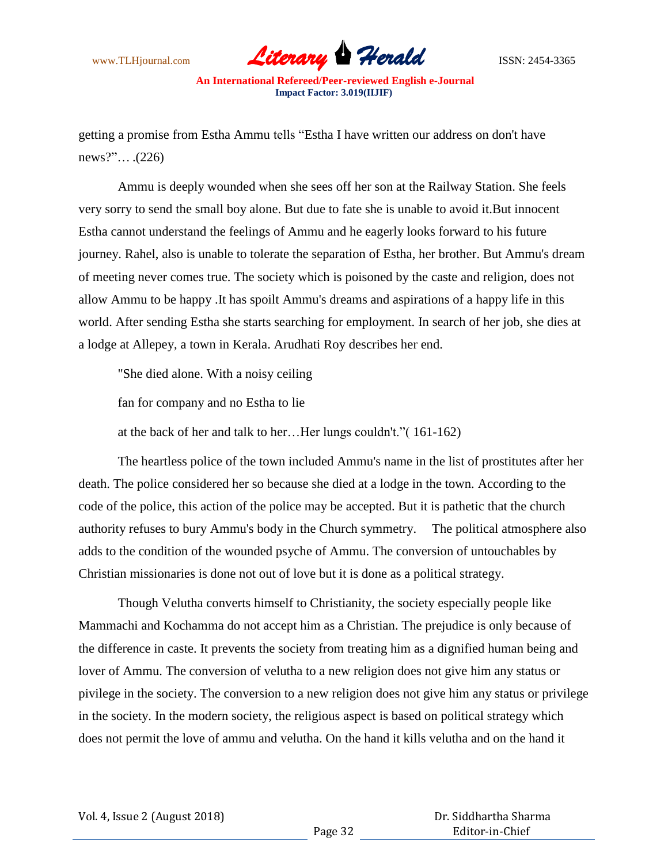

getting a promise from Estha Ammu tells "Estha I have written our address on don't have news?"… .(226)

Ammu is deeply wounded when she sees off her son at the Railway Station. She feels very sorry to send the small boy alone. But due to fate she is unable to avoid it.But innocent Estha cannot understand the feelings of Ammu and he eagerly looks forward to his future journey. Rahel, also is unable to tolerate the separation of Estha, her brother. But Ammu's dream of meeting never comes true. The society which is poisoned by the caste and religion, does not allow Ammu to be happy .It has spoilt Ammu's dreams and aspirations of a happy life in this world. After sending Estha she starts searching for employment. In search of her job, she dies at a lodge at Allepey, a town in Kerala. Arudhati Roy describes her end.

"She died alone. With a noisy ceiling

fan for company and no Estha to lie

at the back of her and talk to her…Her lungs couldn't."( 161-162)

The heartless police of the town included Ammu's name in the list of prostitutes after her death. The police considered her so because she died at a lodge in the town. According to the code of the police, this action of the police may be accepted. But it is pathetic that the church authority refuses to bury Ammu's body in the Church symmetry. The political atmosphere also adds to the condition of the wounded psyche of Ammu. The conversion of untouchables by Christian missionaries is done not out of love but it is done as a political strategy.

Though Velutha converts himself to Christianity, the society especially people like Mammachi and Kochamma do not accept him as a Christian. The prejudice is only because of the difference in caste. It prevents the society from treating him as a dignified human being and lover of Ammu. The conversion of velutha to a new religion does not give him any status or pivilege in the society. The conversion to a new religion does not give him any status or privilege in the society. In the modern society, the religious aspect is based on political strategy which does not permit the love of ammu and velutha. On the hand it kills velutha and on the hand it